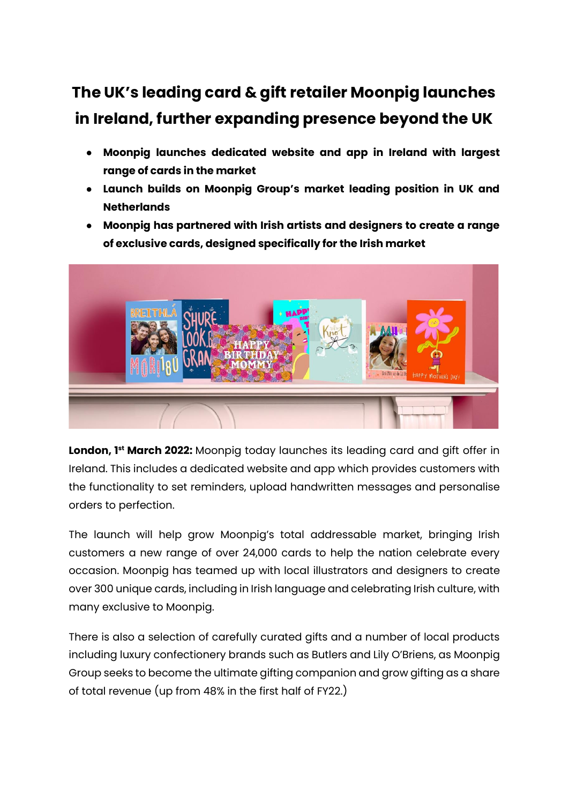## **The UK's leading card & gift retailer Moonpig launches in Ireland, further expanding presence beyond the UK**

- **Moonpig launches dedicated website and app in Ireland with largest range of cards in the market**
- **Launch builds on Moonpig Group's market leading position in UK and Netherlands**
- **Moonpig has partnered with Irish artists and designers to create a range of exclusive cards, designed specifically for the Irish market**



**London, 1st March 2022:** Moonpig today launches its leading card and gift offer in Ireland. This includes a dedicated website and app which provides customers with the functionality to set reminders, upload handwritten messages and personalise orders to perfection.

The launch will help grow Moonpig's total addressable market, bringing Irish customers a new range of over 24,000 cards to help the nation celebrate every occasion. Moonpig has teamed up with local illustrators and designers to create over 300 unique cards, including in Irish language and celebrating Irish culture, with many exclusive to Moonpig.

There is also a selection of carefully curated gifts and a number of local products including luxury confectionery brands such as Butlers and Lily O'Briens, as Moonpig Group seeks to become the ultimate gifting companion and grow gifting as a share of total revenue (up from 48% in the first half of FY22.)